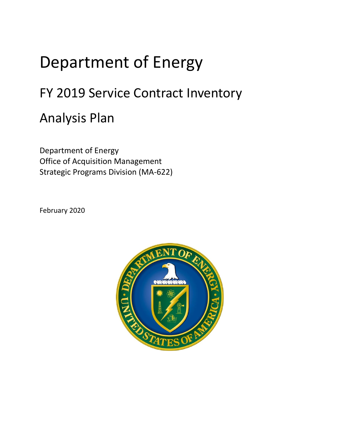## Department of Energy

## FY 2019 Service Contract Inventory

## Analysis Plan

Department of Energy Office of Acquisition Management Strategic Programs Division (MA-622)

February 2020

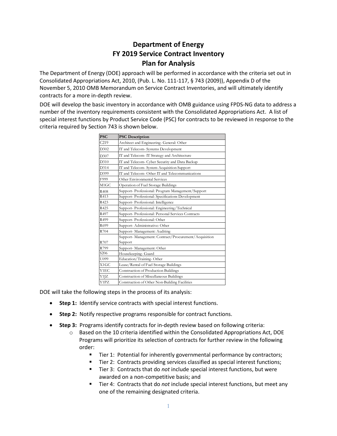## **Department of Energy FY 2019 Service Contract Inventory Plan for Analysis**

The Department of Energy (DOE) approach will be performed in accordance with the criteria set out in Consolidated Appropriations Act, 2010, (Pub. L. No. 111-117, § 743 (2009)), Appendix D of the November 5, 2010 OMB Memorandum on Service Contract Inventories, and will ultimately identify contracts for a more in-depth review.

DOE will develop the basic inventory in accordance with OMB guidance using FPDS-NG data to address a number of the inventory requirements consistent with the Consolidated Appropriations Act. A list of special interest functions by Product Service Code (PSC) for contracts to be reviewed in response to the criteria required by Section 743 is shown below.

| <b>PSC</b>        | <b>PSC Description</b>                               |
|-------------------|------------------------------------------------------|
| C219              | Architect and Engineering- General: Other            |
| D302              | IT and Telecom- Systems Development                  |
| D307              | IT and Telecom- IT Strategy and Architecture         |
| D310              | IT and Telecom- Cyber Security and Data Backup       |
| D314              | IT and Telecom- System Acquisition Support           |
| D399              | IT and Telecom- Other IT and Telecommunications      |
| F999              | Other Environmental Services                         |
| M <sub>1</sub> GC | Operation of Fuel Storage Buildings                  |
| R408              | Support-Professional: Program Management/Support     |
| R413              | Support-Professional: Specifications Development     |
| R423              | Support-Professional: Intelligence                   |
| R425              | Support-Professional: Engineering/Technical          |
| R497              | Support- Professional: Personal Services Contracts   |
| R499              | Support-Professional: Other                          |
| R699              | Support-Administrative: Other                        |
| R704              | Support-Management: Auditing                         |
|                   | Support-Management: Contract/Procurement/Acquisition |
| R707              | Support                                              |
| R799              | Support-Management: Other                            |
| S <sub>206</sub>  | Housekeeping- Guard                                  |
| U099              | Education/Training-Other                             |
| X <sub>1</sub> GC | Lease/Rental of Fuel Storage Buildings               |
| Y1EC              | Construction of Production Buildings                 |
| Y1JZ              | Construction of Miscellaneous Buildings              |
| Y1PZ              | Construction of Other Non-Building Facilities        |

DOE will take the following steps in the process of its analysis:

- **Step 1:** Identify service contracts with special interest functions.
- **Step 2:** Notify respective programs responsible for contract functions.
- **Step 3:** Programs identify contracts for in-depth review based on following criteria:
	- $\circ$  Based on the 10 criteria identified within the Consolidated Appropriations Act, DOE Programs will prioritize its selection of contracts for further review in the following order:
		- Tier 1: Potential for inherently governmental performance by contractors;
		- Tier 2: Contracts providing services classified as special interest functions;
		- Tier 3: Contracts that do *not* include special interest functions, but were awarded on a non-competitive basis; and
		- Tier 4: Contracts that do *not* include special interest functions, but meet any one of the remaining designated criteria.